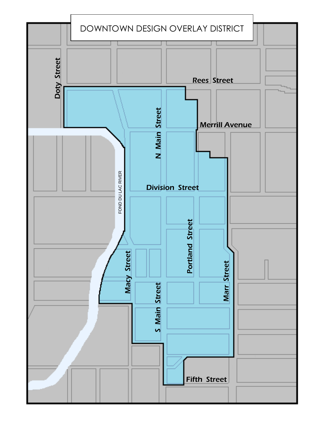